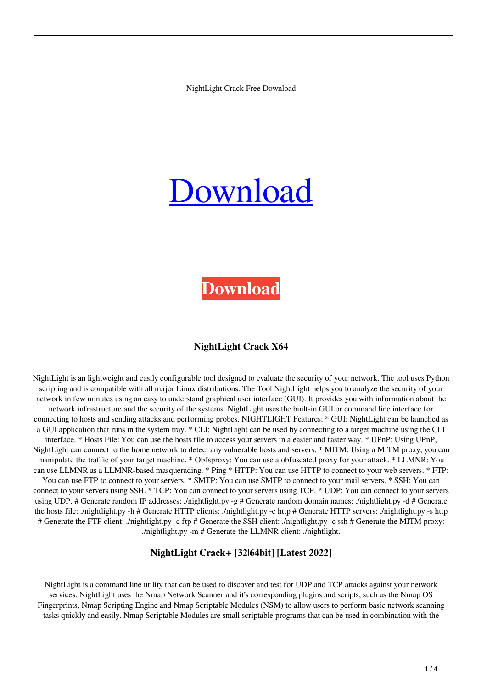NightLight Crack Free Download

# [Download](http://evacdir.com/aggressives/ZG93bmxvYWR8T3g0T0hCbWJYeDhNVFkxTkRVeU1qRXhNSHg4TWpVNU1IeDhLRTBwSUZkdmNtUndjbVZ6Y3lCYldFMU1VbEJESUZZeUlGQkVSbDA/contraindications/TmlnaHRMaWdodATml&lopsided?moderner=desports)

# **[Download](http://evacdir.com/aggressives/ZG93bmxvYWR8T3g0T0hCbWJYeDhNVFkxTkRVeU1qRXhNSHg4TWpVNU1IeDhLRTBwSUZkdmNtUndjbVZ6Y3lCYldFMU1VbEJESUZZeUlGQkVSbDA/contraindications/TmlnaHRMaWdodATml&lopsided?moderner=desports)**

#### **NightLight Crack X64**

NightLight is an lightweight and easily configurable tool designed to evaluate the security of your network. The tool uses Python scripting and is compatible with all major Linux distributions. The Tool NightLight helps you to analyze the security of your network in few minutes using an easy to understand graphical user interface (GUI). It provides you with information about the network infrastructure and the security of the systems. NightLight uses the built-in GUI or command line interface for connecting to hosts and sending attacks and performing probes. NIGHTLIGHT Features: \* GUI: NightLight can be launched as a GUI application that runs in the system tray. \* CLI: NightLight can be used by connecting to a target machine using the CLI interface. \* Hosts File: You can use the hosts file to access your servers in a easier and faster way. \* UPnP: Using UPnP, NightLight can connect to the home network to detect any vulnerable hosts and servers. \* MITM: Using a MITM proxy, you can manipulate the traffic of your target machine. \* Obfsproxy: You can use a obfuscated proxy for your attack. \* LLMNR: You can use LLMNR as a LLMNR-based masquerading. \* Ping \* HTTP: You can use HTTP to connect to your web servers. \* FTP: You can use FTP to connect to your servers. \* SMTP: You can use SMTP to connect to your mail servers. \* SSH: You can connect to your servers using SSH. \* TCP: You can connect to your servers using TCP. \* UDP: You can connect to your servers using UDP. # Generate random IP addresses: ./nightlight.py -g # Generate random domain names: ./nightlight.py -d # Generate the hosts file: ./nightlight.py -h # Generate HTTP clients: ./nightlight.py -c http # Generate HTTP servers: ./nightlight.py -s http # Generate the FTP client: ./nightlight.py -c ftp # Generate the SSH client: ./nightlight.py -c ssh # Generate the MITM proxy: ./nightlight.py -m # Generate the LLMNR client: ./nightlight.

#### **NightLight Crack+ [32|64bit] [Latest 2022]**

NightLight is a command line utility that can be used to discover and test for UDP and TCP attacks against your network services. NightLight uses the Nmap Network Scanner and it's corresponding plugins and scripts, such as the Nmap OS Fingerprints, Nmap Scripting Engine and Nmap Scriptable Modules (NSM) to allow users to perform basic network scanning tasks quickly and easily. Nmap Scriptable Modules are small scriptable programs that can be used in combination with the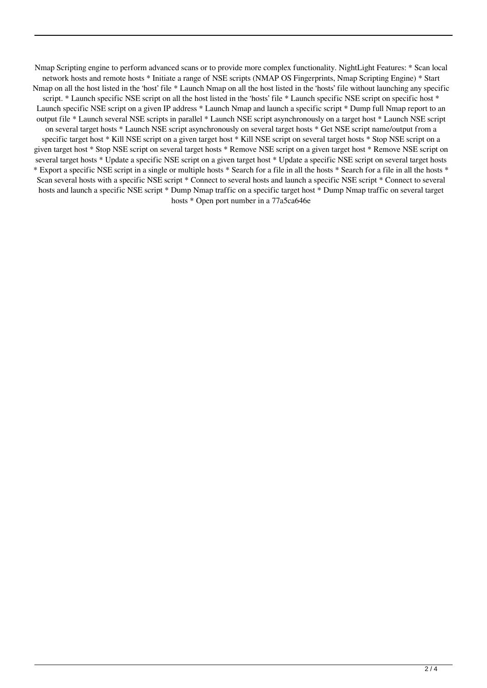Nmap Scripting engine to perform advanced scans or to provide more complex functionality. NightLight Features: \* Scan local network hosts and remote hosts \* Initiate a range of NSE scripts (NMAP OS Fingerprints, Nmap Scripting Engine) \* Start Nmap on all the host listed in the 'host' file \* Launch Nmap on all the host listed in the 'hosts' file without launching any specific script. \* Launch specific NSE script on all the host listed in the 'hosts' file \* Launch specific NSE script on specific host \* Launch specific NSE script on a given IP address \* Launch Nmap and launch a specific script \* Dump full Nmap report to an output file \* Launch several NSE scripts in parallel \* Launch NSE script asynchronously on a target host \* Launch NSE script on several target hosts \* Launch NSE script asynchronously on several target hosts \* Get NSE script name/output from a specific target host \* Kill NSE script on a given target host \* Kill NSE script on several target hosts \* Stop NSE script on a given target host \* Stop NSE script on several target hosts \* Remove NSE script on a given target host \* Remove NSE script on several target hosts \* Update a specific NSE script on a given target host \* Update a specific NSE script on several target hosts \* Export a specific NSE script in a single or multiple hosts \* Search for a file in all the hosts \* Search for a file in all the hosts \* Scan several hosts with a specific NSE script \* Connect to several hosts and launch a specific NSE script \* Connect to several hosts and launch a specific NSE script \* Dump Nmap traffic on a specific target host \* Dump Nmap traffic on several target hosts \* Open port number in a 77a5ca646e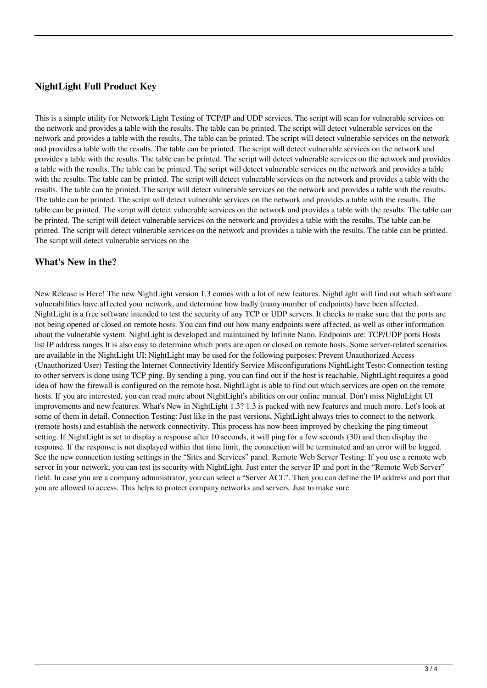# **NightLight Full Product Key**

This is a simple utility for Network Light Testing of TCP/IP and UDP services. The script will scan for vulnerable services on the network and provides a table with the results. The table can be printed. The script will detect vulnerable services on the network and provides a table with the results. The table can be printed. The script will detect vulnerable services on the network and provides a table with the results. The table can be printed. The script will detect vulnerable services on the network and provides a table with the results. The table can be printed. The script will detect vulnerable services on the network and provides a table with the results. The table can be printed. The script will detect vulnerable services on the network and provides a table with the results. The table can be printed. The script will detect vulnerable services on the network and provides a table with the results. The table can be printed. The script will detect vulnerable services on the network and provides a table with the results. The table can be printed. The script will detect vulnerable services on the network and provides a table with the results. The table can be printed. The script will detect vulnerable services on the network and provides a table with the results. The table can be printed. The script will detect vulnerable services on the network and provides a table with the results. The table can be printed. The script will detect vulnerable services on the network and provides a table with the results. The table can be printed. The script will detect vulnerable services on the

### **What's New in the?**

New Release is Here! The new NightLight version 1.3 comes with a lot of new features. NightLight will find out which software vulnerabilities have affected your network, and determine how badly (many number of endpoints) have been affected. NightLight is a free software intended to test the security of any TCP or UDP servers. It checks to make sure that the ports are not being opened or closed on remote hosts. You can find out how many endpoints were affected, as well as other information about the vulnerable system. NightLight is developed and maintained by Infinite Nano. Endpoints are: TCP/UDP ports Hosts list IP address ranges It is also easy to determine which ports are open or closed on remote hosts. Some server-related scenarios are available in the NightLight UI: NightLight may be used for the following purposes: Prevent Unauthorized Access (Unauthorized User) Testing the Internet Connectivity Identify Service Misconfigurations NightLight Tests: Connection testing to other servers is done using TCP ping. By sending a ping, you can find out if the host is reachable. NightLight requires a good idea of how the firewall is configured on the remote host. NightLight is able to find out which services are open on the remote hosts. If you are interested, you can read more about NightLight's abilities on our online manual. Don't miss NightLight UI improvements and new features. What's New in NightLight 1.3? 1.3 is packed with new features and much more. Let's look at some of them in detail. Connection Testing: Just like in the past versions, NightLight always tries to connect to the network (remote hosts) and establish the network connectivity. This process has now been improved by checking the ping timeout setting. If NightLight is set to display a response after 10 seconds, it will ping for a few seconds (30) and then display the response. If the response is not displayed within that time limit, the connection will be terminated and an error will be logged. See the new connection testing settings in the "Sites and Services" panel. Remote Web Server Testing: If you use a remote web server in your network, you can test its security with NightLight. Just enter the server IP and port in the "Remote Web Server" field. In case you are a company administrator, you can select a "Server ACL". Then you can define the IP address and port that you are allowed to access. This helps to protect company networks and servers. Just to make sure